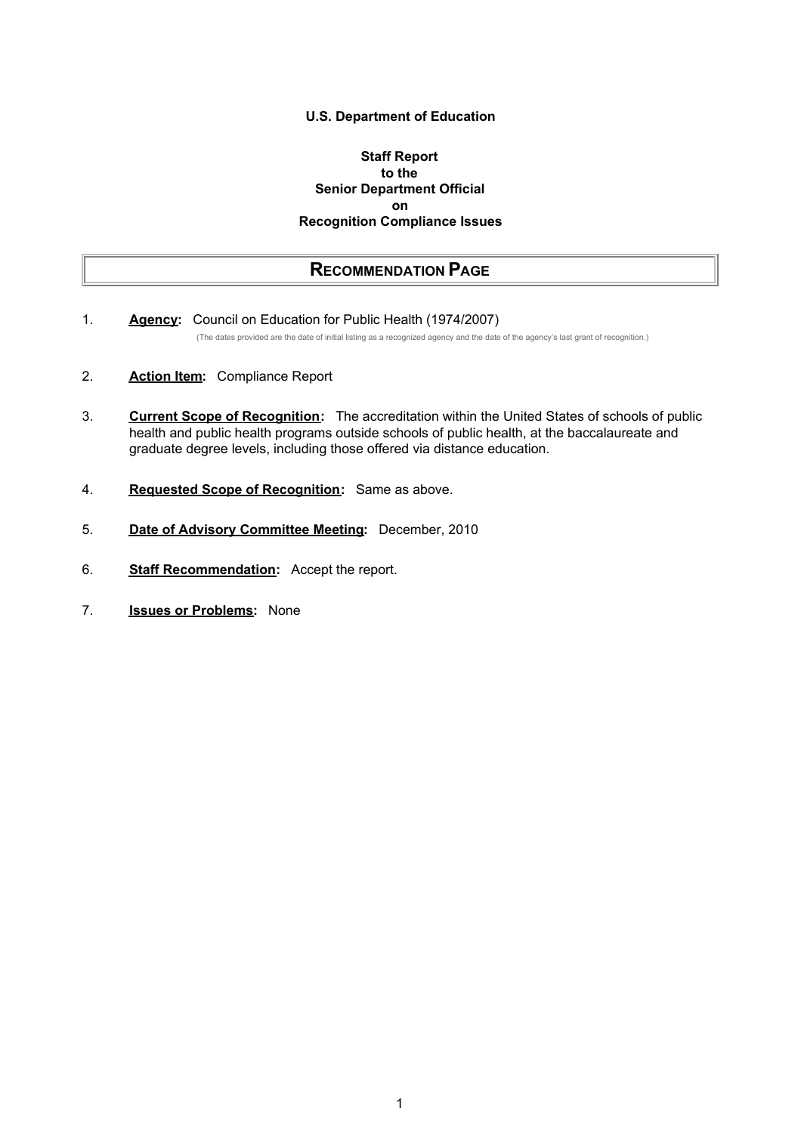#### **U.S. Department of Education**

### **Staff Report to the Senior Department Official on Recognition Compliance Issues**

## **RECOMMENDATION PAGE**

- 1. **Agency:** Council on Education for Public Health (1974/2007) (The dates provided are the date of initial listing as a recognized agency and the date of the agency's last grant of recognition.)
- 2. **Action Item:** Compliance Report
- 3. **Current Scope of Recognition:** The accreditation within the United States of schools of public health and public health programs outside schools of public health, at the baccalaureate and graduate degree levels, including those offered via distance education.
- 4. **Requested Scope of Recognition:** Same as above.
- 5. **Date of Advisory Committee Meeting:** December, 2010
- 6. **Staff Recommendation:** Accept the report.
- 7. **Issues or Problems:** None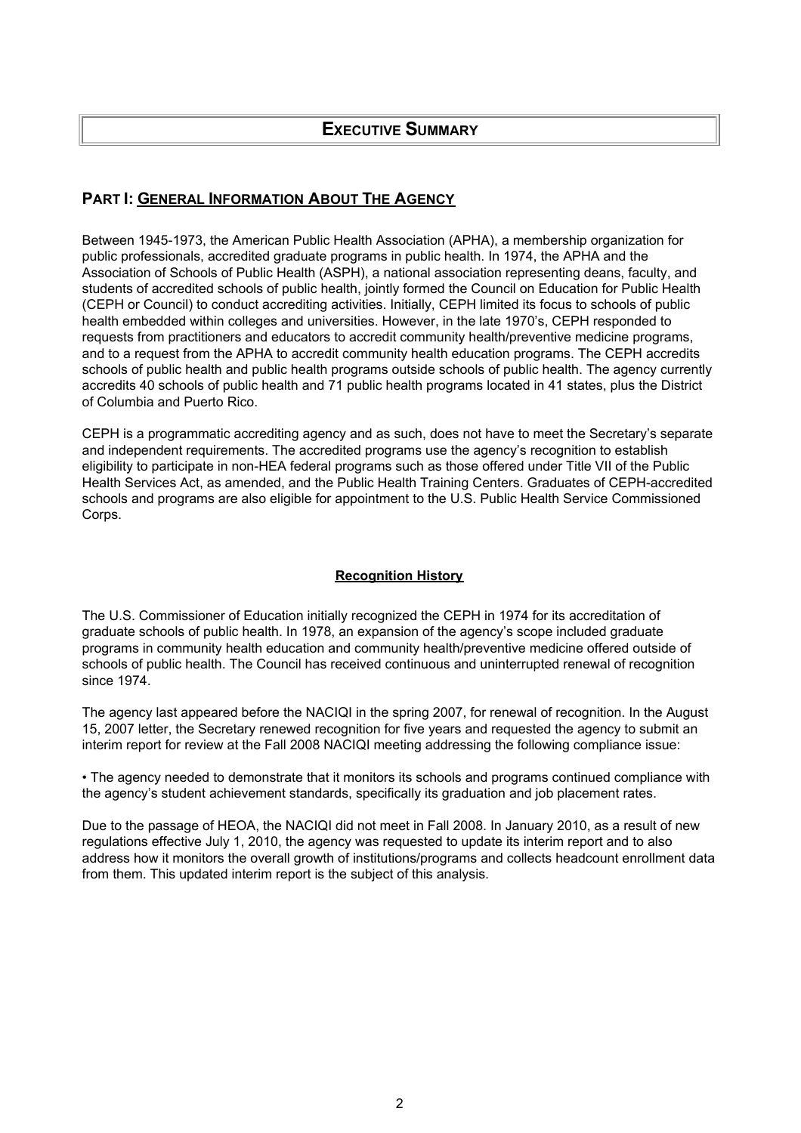## **PART I: GENERAL INFORMATION ABOUT THE AGENCY**

Between 1945-1973, the American Public Health Association (APHA), a membership organization for public professionals, accredited graduate programs in public health. In 1974, the APHA and the Association of Schools of Public Health (ASPH), a national association representing deans, faculty, and students of accredited schools of public health, jointly formed the Council on Education for Public Health (CEPH or Council) to conduct accrediting activities. Initially, CEPH limited its focus to schools of public health embedded within colleges and universities. However, in the late 1970's, CEPH responded to requests from practitioners and educators to accredit community health/preventive medicine programs, and to a request from the APHA to accredit community health education programs. The CEPH accredits schools of public health and public health programs outside schools of public health. The agency currently accredits 40 schools of public health and 71 public health programs located in 41 states, plus the District of Columbia and Puerto Rico.

CEPH is a programmatic accrediting agency and as such, does not have to meet the Secretary's separate and independent requirements. The accredited programs use the agency's recognition to establish eligibility to participate in non-HEA federal programs such as those offered under Title VII of the Public Health Services Act, as amended, and the Public Health Training Centers. Graduates of CEPH-accredited schools and programs are also eligible for appointment to the U.S. Public Health Service Commissioned Corps.

## **Recognition History**

The U.S. Commissioner of Education initially recognized the CEPH in 1974 for its accreditation of graduate schools of public health. In 1978, an expansion of the agency's scope included graduate programs in community health education and community health/preventive medicine offered outside of schools of public health. The Council has received continuous and uninterrupted renewal of recognition since 1974.

The agency last appeared before the NACIQI in the spring 2007, for renewal of recognition. In the August 15, 2007 letter, the Secretary renewed recognition for five years and requested the agency to submit an interim report for review at the Fall 2008 NACIQI meeting addressing the following compliance issue:

• The agency needed to demonstrate that it monitors its schools and programs continued compliance with the agency's student achievement standards, specifically its graduation and job placement rates.

Due to the passage of HEOA, the NACIQI did not meet in Fall 2008. In January 2010, as a result of new regulations effective July 1, 2010, the agency was requested to update its interim report and to also address how it monitors the overall growth of institutions/programs and collects headcount enrollment data from them. This updated interim report is the subject of this analysis.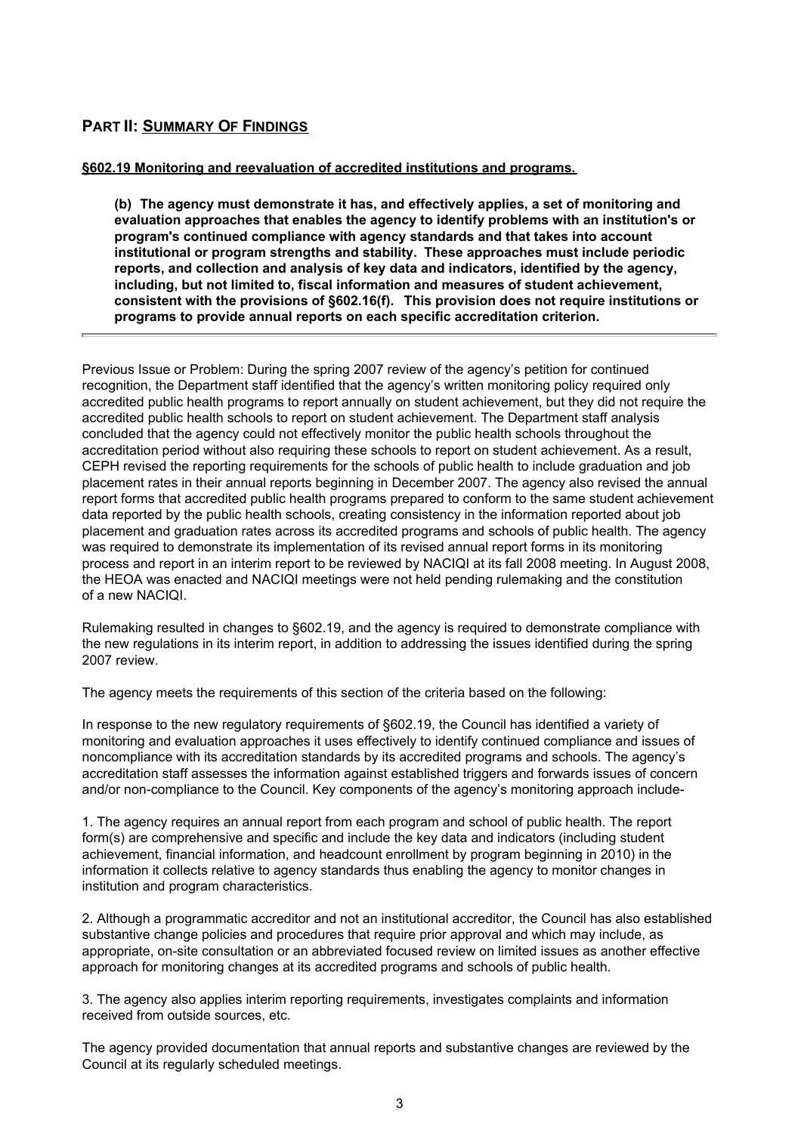## **PART II: SUMMARY OF FINDINGS**

### **§602.19 Monitoring and reevaluation of accredited institutions and programs.**

**(b) The agency must demonstrate it has, and effectively applies, a set of monitoring and evaluation approaches that enables the agency to identify problems with an institution's or program's continued compliance with agency standards and that takes into account institutional or program strengths and stability. These approaches must include periodic reports, and collection and analysis of key data and indicators, identified by the agency, including, but not limited to, fiscal information and measures of student achievement, consistent with the provisions of §602.16(f). This provision does not require institutions or programs to provide annual reports on each specific accreditation criterion.**

Previous Issue or Problem: During the spring 2007 review of the agency's petition for continued recognition, the Department staff identified that the agency's written monitoring policy required only accredited public health programs to report annually on student achievement, but they did not require the accredited public health schools to report on student achievement. The Department staff analysis concluded that the agency could not effectively monitor the public health schools throughout the accreditation period without also requiring these schools to report on student achievement. As a result, CEPH revised the reporting requirements for the schools of public health to include graduation and job placement rates in their annual reports beginning in December 2007. The agency also revised the annual report forms that accredited public health programs prepared to conform to the same student achievement data reported by the public health schools, creating consistency in the information reported about job placement and graduation rates across its accredited programs and schools of public health. The agency was required to demonstrate its implementation of its revised annual report forms in its monitoring process and report in an interim report to be reviewed by NACIQI at its fall 2008 meeting. In August 2008, the HEOA was enacted and NACIQI meetings were not held pending rulemaking and the constitution of a new NACIQI.

Rulemaking resulted in changes to §602.19, and the agency is required to demonstrate compliance with the new regulations in its interim report, in addition to addressing the issues identified during the spring 2007 review.

The agency meets the requirements of this section of the criteria based on the following:

In response to the new regulatory requirements of §602.19, the Council has identified a variety of monitoring and evaluation approaches it uses effectively to identify continued compliance and issues of noncompliance with its accreditation standards by its accredited programs and schools. The agency's accreditation staff assesses the information against established triggers and forwards issues of concern and/or non-compliance to the Council. Key components of the agency's monitoring approach include-

1. The agency requires an annual report from each program and school of public health. The report form(s) are comprehensive and specific and include the key data and indicators (including student achievement, financial information, and headcount enrollment by program beginning in 2010) in the information it collects relative to agency standards thus enabling the agency to monitor changes in institution and program characteristics.

2. Although a programmatic accreditor and not an institutional accreditor, the Council has also established substantive change policies and procedures that require prior approval and which may include, as appropriate, on-site consultation or an abbreviated focused review on limited issues as another effective approach for monitoring changes at its accredited programs and schools of public health.

3. The agency also applies interim reporting requirements, investigates complaints and information received from outside sources, etc.

The agency provided documentation that annual reports and substantive changes are reviewed by the Council at its regularly scheduled meetings.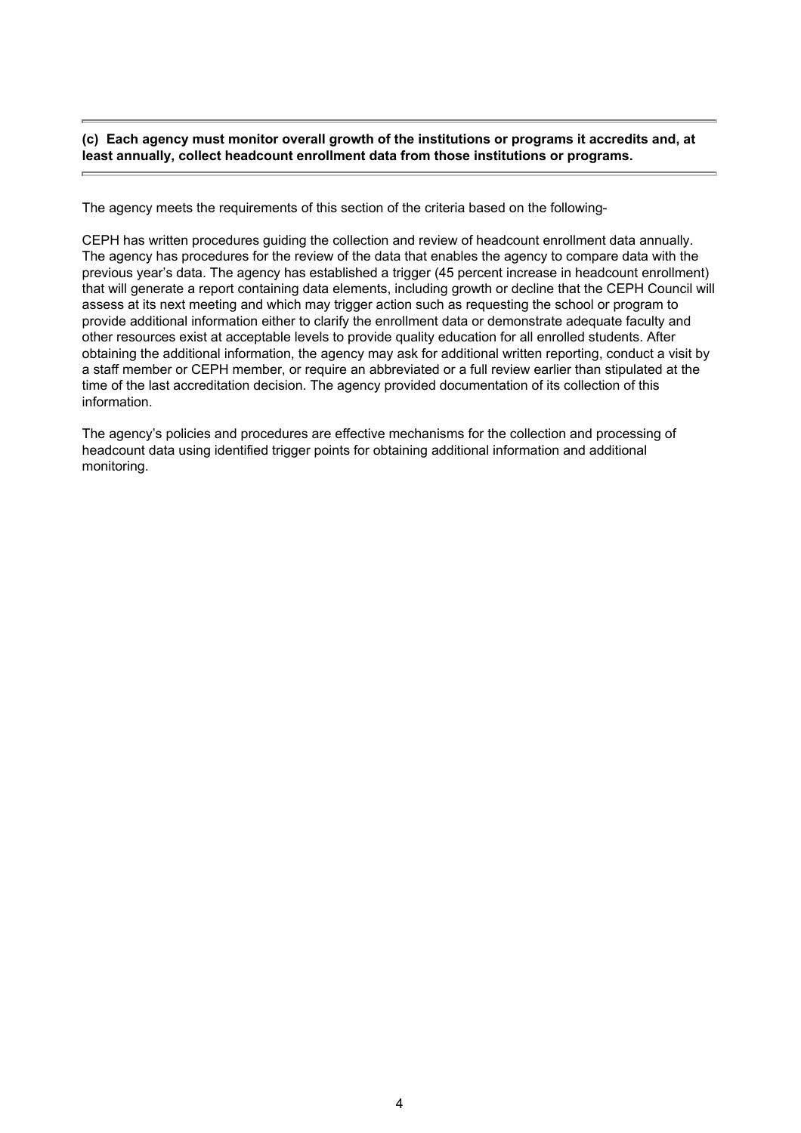#### **(c) Each agency must monitor overall growth of the institutions or programs it accredits and, at least annually, collect headcount enrollment data from those institutions or programs.**

The agency meets the requirements of this section of the criteria based on the following-

CEPH has written procedures guiding the collection and review of headcount enrollment data annually. The agency has procedures for the review of the data that enables the agency to compare data with the previous year's data. The agency has established a trigger (45 percent increase in headcount enrollment) that will generate a report containing data elements, including growth or decline that the CEPH Council will assess at its next meeting and which may trigger action such as requesting the school or program to provide additional information either to clarify the enrollment data or demonstrate adequate faculty and other resources exist at acceptable levels to provide quality education for all enrolled students. After obtaining the additional information, the agency may ask for additional written reporting, conduct a visit by a staff member or CEPH member, or require an abbreviated or a full review earlier than stipulated at the time of the last accreditation decision. The agency provided documentation of its collection of this information.

The agency's policies and procedures are effective mechanisms for the collection and processing of headcount data using identified trigger points for obtaining additional information and additional monitoring.